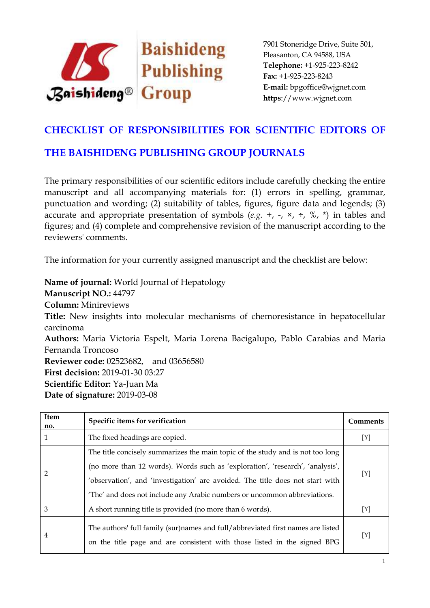

## **CHECKLIST OF RESPONSIBILITIES FOR SCIENTIFIC EDITORS OF**

## **THE BAISHIDENG PUBLISHING GROUP JOURNALS**

The primary responsibilities of our scientific editors include carefully checking the entire manuscript and all accompanying materials for: (1) errors in spelling, grammar, punctuation and wording; (2) suitability of tables, figures, figure data and legends; (3) accurate and appropriate presentation of symbols  $(e.g. +, -, \times, \div, \%$ ,  $*)$  in tables and figures; and (4) complete and comprehensive revision of the manuscript according to the reviewers' comments.

The information for your currently assigned manuscript and the checklist are below:

**Name of journal:** World Journal of Hepatology **Manuscript NO.:** 44797 **Column:** Minireviews **Title:** New insights into molecular mechanisms of chemoresistance in hepatocellular carcinoma **Authors:** Maria Victoria Espelt, Maria Lorena Bacigalupo, Pablo Carabias and Maria Fernanda Troncoso **Reviewer code:** 02523682, and 03656580 **First decision:** 2019-01-30 03:27 **Scientific Editor:** Ya-Juan Ma **Date of signature:** 2019-03-08

| Item<br>no. | Specific items for verification                                                                                                                                                                                                                                                                                              | Comments |
|-------------|------------------------------------------------------------------------------------------------------------------------------------------------------------------------------------------------------------------------------------------------------------------------------------------------------------------------------|----------|
|             | The fixed headings are copied.                                                                                                                                                                                                                                                                                               | [Y]      |
| 2           | The title concisely summarizes the main topic of the study and is not too long<br>(no more than 12 words). Words such as 'exploration', 'research', 'analysis',<br>'observation', and 'investigation' are avoided. The title does not start with<br>'The' and does not include any Arabic numbers or uncommon abbreviations. | [Y]      |
| 3           | A short running title is provided (no more than 6 words).                                                                                                                                                                                                                                                                    | [Y]      |
| 4           | The authors' full family (sur)names and full/abbreviated first names are listed<br>on the title page and are consistent with those listed in the signed BPG                                                                                                                                                                  | [Y]      |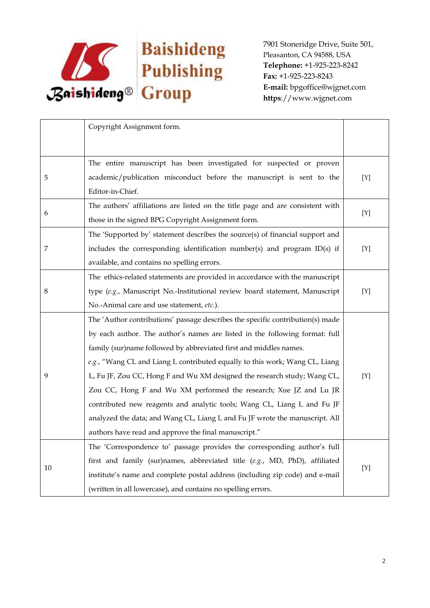

|    | Copyright Assignment form.                                                     |     |
|----|--------------------------------------------------------------------------------|-----|
|    |                                                                                |     |
|    | The entire manuscript has been investigated for suspected or proven            |     |
| 5  | academic/publication misconduct before the manuscript is sent to the           | [Y] |
|    | Editor-in-Chief.                                                               |     |
|    | The authors' affiliations are listed on the title page and are consistent with |     |
| 6  | those in the signed BPG Copyright Assignment form.                             | [Y] |
|    | The 'Supported by' statement describes the source(s) of financial support and  |     |
| 7  | includes the corresponding identification number(s) and program ID(s) if       | [Y] |
|    | available, and contains no spelling errors.                                    |     |
|    |                                                                                |     |
|    | The ethics-related statements are provided in accordance with the manuscript   |     |
| 8  | type (e.g., Manuscript No.-Institutional review board statement, Manuscript    | [Y] |
|    | No.-Animal care and use statement, etc.).                                      |     |
|    | The 'Author contributions' passage describes the specific contribution(s) made |     |
|    | by each author. The author's names are listed in the following format: full    |     |
| 9  | family (sur)name followed by abbreviated first and middles names.              |     |
|    | e.g., "Wang CL and Liang L contributed equally to this work; Wang CL, Liang    |     |
|    | L, Fu JF, Zou CC, Hong F and Wu XM designed the research study; Wang CL,       | [Y] |
|    | Zou CC, Hong F and Wu XM performed the research; Xue JZ and Lu JR              |     |
|    | contributed new reagents and analytic tools; Wang CL, Liang L and Fu JF        |     |
|    | analyzed the data; and Wang CL, Liang L and Fu JF wrote the manuscript. All    |     |
|    | authors have read and approve the final manuscript."                           |     |
| 10 | The 'Correspondence to' passage provides the corresponding author's full       |     |
|    | first and family (sur)names, abbreviated title $(e.g., M.D, PhD)$ , affiliated |     |
|    | institute's name and complete postal address (including zip code) and e-mail   | [Y] |
|    | (written in all lowercase), and contains no spelling errors.                   |     |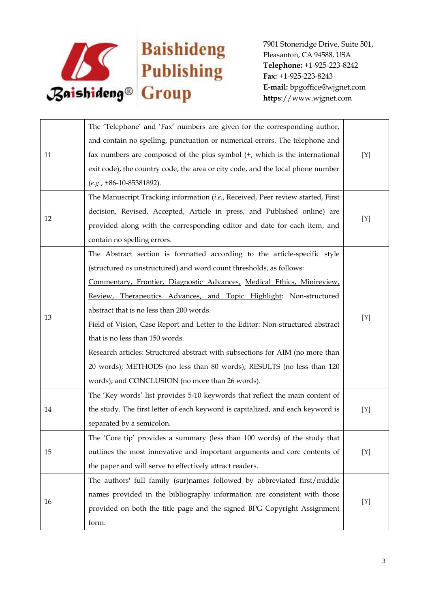

| 11 | The 'Telephone' and 'Fax' numbers are given for the corresponding author,       |     |
|----|---------------------------------------------------------------------------------|-----|
|    | and contain no spelling, punctuation or numerical errors. The telephone and     | [Y] |
|    | fax numbers are composed of the plus symbol (+, which is the international      |     |
|    | exit code), the country code, the area or city code, and the local phone number |     |
|    | $(e.g., +86-10-85381892).$                                                      |     |
|    | The Manuscript Tracking information (i.e., Received, Peer review started, First | [Y] |
|    | decision, Revised, Accepted, Article in press, and Published online) are        |     |
| 12 | provided along with the corresponding editor and date for each item, and        |     |
|    | contain no spelling errors.                                                     |     |
|    | The Abstract section is formatted according to the article-specific style       |     |
|    | (structured vs unstructured) and word count thresholds, as follows:             |     |
|    | Commentary, Frontier, Diagnostic Advances, Medical Ethics, Minireview,          | [Y] |
|    | Review, Therapeutics Advances, and Topic Highlight: Non-structured              |     |
|    | abstract that is no less than 200 words.                                        |     |
| 13 | Field of Vision, Case Report and Letter to the Editor: Non-structured abstract  |     |
|    | that is no less than 150 words.                                                 |     |
|    | Research articles: Structured abstract with subsections for AIM (no more than   |     |
|    | 20 words); METHODS (no less than 80 words); RESULTS (no less than 120           |     |
|    | words); and CONCLUSION (no more than 26 words).                                 |     |
| 14 | The 'Key words' list provides 5-10 keywords that reflect the main content of    |     |
|    | the study. The first letter of each keyword is capitalized, and each keyword is | [Y] |
|    | separated by a semicolon.                                                       |     |
|    | The 'Core tip' provides a summary (less than 100 words) of the study that       |     |
| 15 | outlines the most innovative and important arguments and core contents of       | [Y] |
|    | the paper and will serve to effectively attract readers.                        |     |
| 16 | The authors' full family (sur)names followed by abbreviated first/middle        | [Y] |
|    | names provided in the bibliography information are consistent with those        |     |
|    | provided on both the title page and the signed BPG Copyright Assignment         |     |
|    | form.                                                                           |     |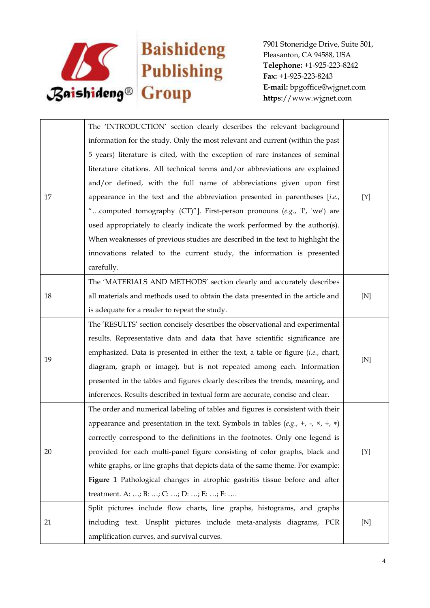

| 17 | The 'INTRODUCTION' section clearly describes the relevant background                                 |             |
|----|------------------------------------------------------------------------------------------------------|-------------|
|    | information for the study. Only the most relevant and current (within the past                       |             |
|    | 5 years) literature is cited, with the exception of rare instances of seminal                        |             |
|    | literature citations. All technical terms and/or abbreviations are explained                         |             |
|    | and/or defined, with the full name of abbreviations given upon first                                 |             |
|    | appearance in the text and the abbreviation presented in parentheses $[i.e.,$                        | [Y]         |
|    | "computed tomography (CT)"]. First-person pronouns (e.g., 'I', 'we') are                             |             |
|    | used appropriately to clearly indicate the work performed by the author(s).                          |             |
|    | When weaknesses of previous studies are described in the text to highlight the                       |             |
|    | innovations related to the current study, the information is presented                               |             |
|    | carefully.                                                                                           |             |
|    | The 'MATERIALS AND METHODS' section clearly and accurately describes                                 |             |
| 18 | all materials and methods used to obtain the data presented in the article and                       | $[{\rm N}]$ |
|    | is adequate for a reader to repeat the study.                                                        |             |
|    | The 'RESULTS' section concisely describes the observational and experimental                         |             |
|    | results. Representative data and data that have scientific significance are                          |             |
| 19 | emphasized. Data is presented in either the text, a table or figure $(i.e.,$ chart,                  | [N]         |
|    | diagram, graph or image), but is not repeated among each. Information                                |             |
|    | presented in the tables and figures clearly describes the trends, meaning, and                       |             |
|    | inferences. Results described in textual form are accurate, concise and clear.                       |             |
| 20 | The order and numerical labeling of tables and figures is consistent with their                      |             |
|    | appearance and presentation in the text. Symbols in tables (e.g., +, -, $\times$ , $\div$ , $\ast$ ) |             |
|    | correctly correspond to the definitions in the footnotes. Only one legend is                         |             |
|    | provided for each multi-panel figure consisting of color graphs, black and                           | $[Y]$       |
|    | white graphs, or line graphs that depicts data of the same theme. For example:                       |             |
|    | Figure 1 Pathological changes in atrophic gastritis tissue before and after                          |             |
|    | treatment. A: ; B: ; C: ; D: ; E: ; F:                                                               |             |
| 21 | Split pictures include flow charts, line graphs, histograms, and graphs                              |             |
|    | including text. Unsplit pictures include meta-analysis diagrams, PCR                                 | [N]         |
|    | amplification curves, and survival curves.                                                           |             |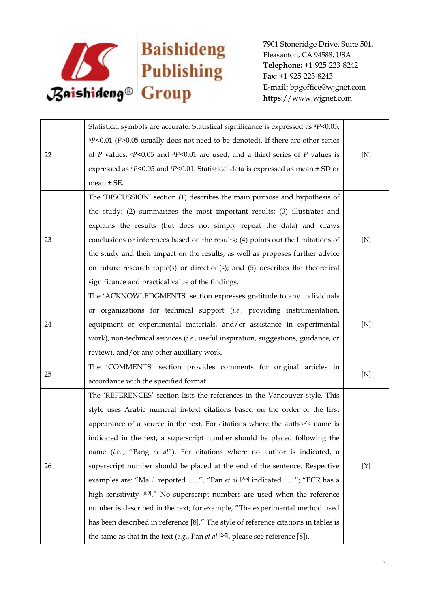

| 22 | Statistical symbols are accurate. Statistical significance is expressed as <sup>a</sup> P<0.05,             |             |
|----|-------------------------------------------------------------------------------------------------------------|-------------|
|    | $bP<0.01$ (P>0.05 usually does not need to be denoted). If there are other series                           |             |
|    | of P values, $\epsilon P$ <0.05 and $\epsilon P$ <0.01 are used, and a third series of P values is          | $[{\rm N}]$ |
|    | expressed as $\mathrm{e}P$ <0.05 and $\mathrm{f}P$ <0.01. Statistical data is expressed as mean $\pm$ SD or |             |
|    | mean $\pm$ SE.                                                                                              |             |
|    | The 'DISCUSSION' section (1) describes the main purpose and hypothesis of                                   |             |
|    | the study; (2) summarizes the most important results; (3) illustrates and                                   |             |
|    | explains the results (but does not simply repeat the data) and draws                                        |             |
| 23 | conclusions or inferences based on the results; (4) points out the limitations of                           | $[{\rm N}]$ |
|    | the study and their impact on the results, as well as proposes further advice                               |             |
|    | on future research topic(s) or direction(s); and (5) describes the theoretical                              |             |
|    | significance and practical value of the findings.                                                           |             |
|    | The 'ACKNOWLEDGMENTS' section expresses gratitude to any individuals                                        |             |
|    | or organizations for technical support (i.e., providing instrumentation,                                    |             |
| 24 | equipment or experimental materials, and/or assistance in experimental                                      | $[{\rm N}]$ |
|    | work), non-technical services (i.e., useful inspiration, suggestions, guidance, or                          |             |
|    | review), and/or any other auxiliary work.                                                                   |             |
| 25 | The 'COMMENTS' section provides comments for original articles in                                           |             |
|    | accordance with the specified format.                                                                       | $[{\rm N}]$ |
| 26 | The 'REFERENCES' section lists the references in the Vancouver style. This                                  |             |
|    | style uses Arabic numeral in-text citations based on the order of the first                                 |             |
|    | appearance of a source in the text. For citations where the author's name is                                |             |
|    | indicated in the text, a superscript number should be placed following the                                  |             |
|    | name (i.e, "Pang et al"). For citations where no author is indicated, a                                     |             |
|    | superscript number should be placed at the end of the sentence. Respective                                  | [Y]         |
|    | examples are: "Ma [1] reported ", "Pan et al [2-5] indicated "; "PCR has a                                  |             |
|    | high sensitivity [6,9]." No superscript numbers are used when the reference                                 |             |
|    | number is described in the text; for example, "The experimental method used                                 |             |
|    | has been described in reference [8]." The style of reference citations in tables is                         |             |
|    | the same as that in the text (e.g., Pan et al $[2-5]$ , please see reference [8]).                          |             |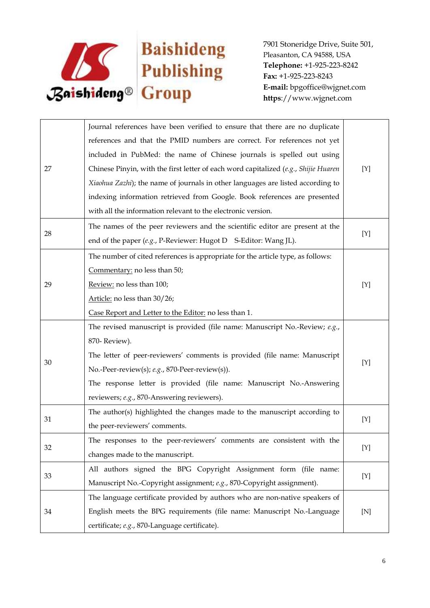

|    | Journal references have been verified to ensure that there are no duplicate         |     |
|----|-------------------------------------------------------------------------------------|-----|
|    | references and that the PMID numbers are correct. For references not yet            |     |
|    | included in PubMed: the name of Chinese journals is spelled out using               |     |
| 27 | Chinese Pinyin, with the first letter of each word capitalized (e.g., Shijie Huaren | [Y] |
|    | Xiaohua Zazhi); the name of journals in other languages are listed according to     |     |
|    | indexing information retrieved from Google. Book references are presented           |     |
|    | with all the information relevant to the electronic version.                        |     |
|    | The names of the peer reviewers and the scientific editor are present at the        |     |
| 28 | end of the paper (e.g., P-Reviewer: Hugot D S-Editor: Wang JL).                     | [Y] |
|    | The number of cited references is appropriate for the article type, as follows:     |     |
|    | Commentary: no less than 50;                                                        |     |
| 29 | Review: no less than 100;                                                           | [Y] |
|    | Article: no less than 30/26;                                                        |     |
|    | Case Report and Letter to the Editor: no less than 1.                               |     |
|    | The revised manuscript is provided (file name: Manuscript No.-Review; e.g.,         |     |
|    | 870-Review).                                                                        |     |
| 30 | The letter of peer-reviewers' comments is provided (file name: Manuscript           | [Y] |
|    | No.-Peer-review(s); e.g., 870-Peer-review(s)).                                      |     |
|    | The response letter is provided (file name: Manuscript No.-Answering                |     |
|    | reviewers; e.g., 870-Answering reviewers).                                          |     |
| 31 | The author(s) highlighted the changes made to the manuscript according to           | [Y] |
|    | the peer-reviewers' comments.                                                       |     |
| 32 | The responses to the peer-reviewers' comments are consistent with the               | [Y] |
|    | changes made to the manuscript.                                                     |     |
| 33 | All authors signed the BPG Copyright Assignment form (file name:                    | [Y] |
|    | Manuscript No.-Copyright assignment; e.g., 870-Copyright assignment).               |     |
| 34 | The language certificate provided by authors who are non-native speakers of         |     |
|    | English meets the BPG requirements (file name: Manuscript No.-Language              | [N] |
|    | certificate; e.g., 870-Language certificate).                                       |     |